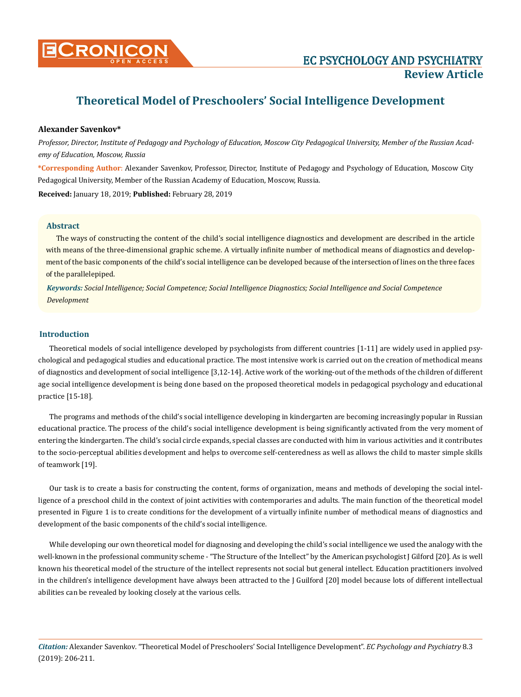

# **Alexander Savenkov\***

*Professor, Director, Institute of Pedagogy and Psychology of Education, Moscow City Pedagogical University, Member of the Russian Academy of Education, Moscow, Russia*

**\*Corresponding Author**: Alexander Savenkov, Professor, Director, Institute of Pedagogy and Psychology of Education, Moscow City Pedagogical University, Member of the Russian Academy of Education, Moscow, Russia.

**Received:** January 18, 2019; **Published:** February 28, 2019

## **Abstract**

The ways of constructing the content of the child's social intelligence diagnostics and development are described in the article with means of the three-dimensional graphic scheme. A virtually infinite number of methodical means of diagnostics and development of the basic components of the child's social intelligence can be developed because of the intersection of lines on the three faces of the parallelepiped.

*Keywords: Social Intelligence; Social Competence; Social Intelligence Diagnostics; Social Intelligence and Social Competence Development*

#### **Introduction**

Theoretical models of social intelligence developed by psychologists from different countries [1-11] are widely used in applied psychological and pedagogical studies and educational practice. The most intensive work is carried out on the creation of methodical means of diagnostics and development of social intelligence [3,12-14]. Active work of the working-out of the methods of the children of different age social intelligence development is being done based on the proposed theoretical models in pedagogical psychology and educational practice [15-18].

The programs and methods of the child's social intelligence developing in kindergarten are becoming increasingly popular in Russian educational practice. The process of the child's social intelligence development is being significantly activated from the very moment of entering the kindergarten. The child's social circle expands, special classes are conducted with him in various activities and it contributes to the socio-perceptual abilities development and helps to overcome self-centeredness as well as allows the child to master simple skills of teamwork [19].

Our task is to create a basis for constructing the content, forms of organization, means and methods of developing the social intelligence of a preschool child in the context of joint activities with contemporaries and adults. The main function of the theoretical model presented in Figure 1 is to create conditions for the development of a virtually infinite number of methodical means of diagnostics and development of the basic components of the child's social intelligence.

While developing our own theoretical model for diagnosing and developing the child's social intelligence we used the analogy with the well-known in the professional community scheme - "The Structure of the Intellect" by the American psychologist J Gilford [20]. As is well known his theoretical model of the structure of the intellect represents not social but general intellect. Education practitioners involved in the children's intelligence development have always been attracted to the J Guilford [20] model because lots of different intellectual abilities can be revealed by looking closely at the various cells.

*Citation:* Alexander Savenkov*.* "Theoretical Model of Preschoolers' Social Intelligence Development". *EC Psychology and Psychiatry* 8.3 (2019): 206-211.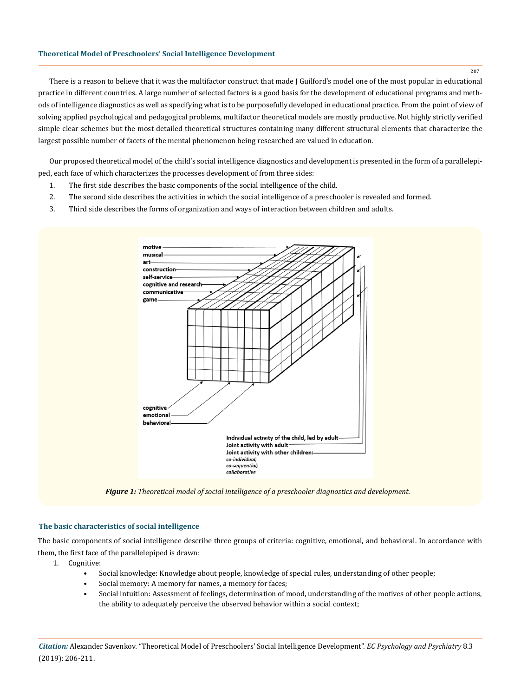There is a reason to believe that it was the multifactor construct that made J Guilford's model one of the most popular in educational practice in different countries. A large number of selected factors is a good basis for the development of educational programs and methods of intelligence diagnostics as well as specifying what is to be purposefully developed in educational practice. From the point of view of solving applied psychological and pedagogical problems, multifactor theoretical models are mostly productive. Not highly strictly verified simple clear schemes but the most detailed theoretical structures containing many different structural elements that characterize the largest possible number of facets of the mental phenomenon being researched are valued in education.

Our proposed theoretical model of the child's social intelligence diagnostics and development is presented in the form of a parallelepiped, each face of which characterizes the processes development of from three sides:

- 1. The first side describes the basic components of the social intelligence of the child.
- 2. The second side describes the activities in which the social intelligence of a preschooler is revealed and formed.
- 3. Third side describes the forms of organization and ways of interaction between children and adults.



*Figure 1: Theoretical model of social intelligence of a preschooler diagnostics and development.*

## **The basic characteristics of social intelligence**

The basic components of social intelligence describe three groups of criteria: cognitive, emotional, and behavioral. In accordance with them, the first face of the parallelepiped is drawn:

- 1. Cognitive:
	- Social knowledge: Knowledge about people, knowledge of special rules, understanding of other people;
	- Social memory: A memory for names, a memory for faces;
	- Social intuition: Assessment of feelings, determination of mood, understanding of the motives of other people actions, the ability to adequately perceive the observed behavior within a social context;

*Citation:* Alexander Savenkov*.* "Theoretical Model of Preschoolers' Social Intelligence Development". *EC Psychology and Psychiatry* 8.3 (2019): 206-211.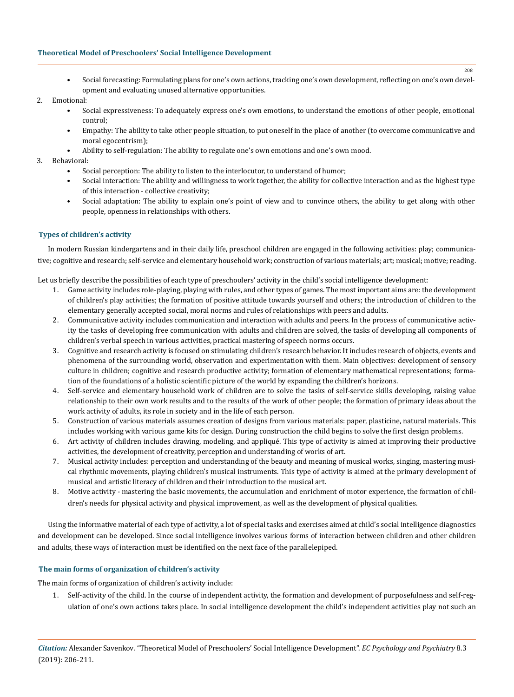• Social forecasting: Formulating plans for one's own actions, tracking one's own development, reflecting on one's own development and evaluating unused alternative opportunities.

## 2. Emotional:

- Social expressiveness: To adequately express one's own emotions, to understand the emotions of other people, emotional control;
- Empathy: The ability to take other people situation, to put oneself in the place of another (to overcome communicative and moral egocentrism);
- Ability to self-regulation: The ability to regulate one's own emotions and one's own mood.

## 3. Behavioral:

- Social perception: The ability to listen to the interlocutor, to understand of humor;
- Social interaction: The ability and willingness to work together, the ability for collective interaction and as the highest type of this interaction - collective creativity;
- Social adaptation: The ability to explain one's point of view and to convince others, the ability to get along with other people, openness in relationships with others.

#### **Types of children's activity**

In modern Russian kindergartens and in their daily life, preschool children are engaged in the following activities: play; communicative; cognitive and research; self-service and elementary household work; construction of various materials; art; musical; motive; reading.

Let us briefly describe the possibilities of each type of preschoolers' activity in the child's social intelligence development:

- 1. Game activity includes role-playing, playing with rules, and other types of games. The most important aims are: the development of children's play activities; the formation of positive attitude towards yourself and others; the introduction of children to the elementary generally accepted social, moral norms and rules of relationships with peers and adults.
- 2. Communicative activity includes communication and interaction with adults and peers. In the process of communicative activity the tasks of developing free communication with adults and children are solved, the tasks of developing all components of children's verbal speech in various activities, practical mastering of speech norms occurs.
- 3. Cognitive and research activity is focused on stimulating children's research behavior. It includes research of objects, events and phenomena of the surrounding world, observation and experimentation with them. Main objectives: development of sensory culture in children; cognitive and research productive activity; formation of elementary mathematical representations; formation of the foundations of a holistic scientific picture of the world by expanding the children's horizons.
- 4. Self-service and elementary household work of children are to solve the tasks of self-service skills developing, raising value relationship to their own work results and to the results of the work of other people; the formation of primary ideas about the work activity of adults, its role in society and in the life of each person.
- 5. Construction of various materials assumes creation of designs from various materials: paper, plasticine, natural materials. This includes working with various game kits for design. During construction the child begins to solve the first design problems.
- 6. Art activity of children includes drawing, modeling, and appliqué. This type of activity is aimed at improving their productive activities, the development of creativity, perception and understanding of works of art.
- 7. Musical activity includes: perception and understanding of the beauty and meaning of musical works, singing, mastering musical rhythmic movements, playing children's musical instruments. This type of activity is aimed at the primary development of musical and artistic literacy of children and their introduction to the musical art.
- 8. Motive activity mastering the basic movements, the accumulation and enrichment of motor experience, the formation of children's needs for physical activity and physical improvement, as well as the development of physical qualities.

Using the informative material of each type of activity, a lot of special tasks and exercises aimed at child's social intelligence diagnostics and development can be developed. Since social intelligence involves various forms of interaction between children and other children and adults, these ways of interaction must be identified on the next face of the parallelepiped.

# **The main forms of organization of children's activity**

The main forms of organization of children's activity include:

1. Self-activity of the child. In the course of independent activity, the formation and development of purposefulness and self-regulation of one's own actions takes place. In social intelligence development the child's independent activities play not such an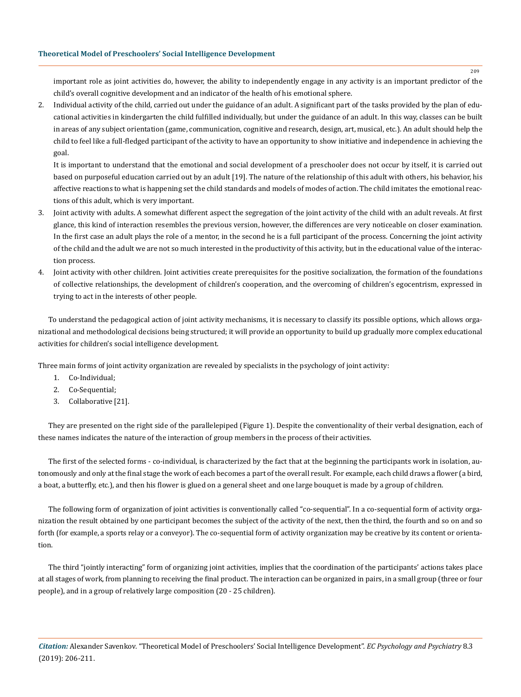important role as joint activities do, however, the ability to independently engage in any activity is an important predictor of the child's overall cognitive development and an indicator of the health of his emotional sphere.

2. Individual activity of the child, carried out under the guidance of an adult. A significant part of the tasks provided by the plan of educational activities in kindergarten the child fulfilled individually, but under the guidance of an adult. In this way, classes can be built in areas of any subject orientation (game, communication, cognitive and research, design, art, musical, etc.). An adult should help the child to feel like a full-fledged participant of the activity to have an opportunity to show initiative and independence in achieving the goal.

It is important to understand that the emotional and social development of a preschooler does not occur by itself, it is carried out based on purposeful education carried out by an adult [19]. The nature of the relationship of this adult with others, his behavior, his affective reactions to what is happening set the child standards and models of modes of action. The child imitates the emotional reactions of this adult, which is very important.

- 3. Joint activity with adults. A somewhat different aspect the segregation of the joint activity of the child with an adult reveals. At first glance, this kind of interaction resembles the previous version, however, the differences are very noticeable on closer examination. In the first case an adult plays the role of a mentor, in the second he is a full participant of the process. Concerning the joint activity of the child and the adult we are not so much interested in the productivity of this activity, but in the educational value of the interaction process.
- 4. Joint activity with other children. Joint activities create prerequisites for the positive socialization, the formation of the foundations of collective relationships, the development of children's cooperation, and the overcoming of children's egocentrism, expressed in trying to act in the interests of other people.

To understand the pedagogical action of joint activity mechanisms, it is necessary to classify its possible options, which allows organizational and methodological decisions being structured; it will provide an opportunity to build up gradually more complex educational activities for children's social intelligence development.

Three main forms of joint activity organization are revealed by specialists in the psychology of joint activity:

- 1. Co-Individual;
- 2. Co-Sequential;
- 3. Collaborative [21].

They are presented on the right side of the parallelepiped (Figure 1). Despite the conventionality of their verbal designation, each of these names indicates the nature of the interaction of group members in the process of their activities.

The first of the selected forms - co-individual, is characterized by the fact that at the beginning the participants work in isolation, autonomously and only at the final stage the work of each becomes a part of the overall result. For example, each child draws a flower (a bird, a boat, a butterfly, etc.), and then his flower is glued on a general sheet and one large bouquet is made by a group of children.

The following form of organization of joint activities is conventionally called "co-sequential". In a co-sequential form of activity organization the result obtained by one participant becomes the subject of the activity of the next, then the third, the fourth and so on and so forth (for example, a sports relay or a conveyor). The co-sequential form of activity organization may be creative by its content or orientation.

The third "jointly interacting" form of organizing joint activities, implies that the coordination of the participants' actions takes place at all stages of work, from planning to receiving the final product. The interaction can be organized in pairs, in a small group (three or four people), and in a group of relatively large composition (20 - 25 children).

*Citation:* Alexander Savenkov*.* "Theoretical Model of Preschoolers' Social Intelligence Development". *EC Psychology and Psychiatry* 8.3 (2019): 206-211.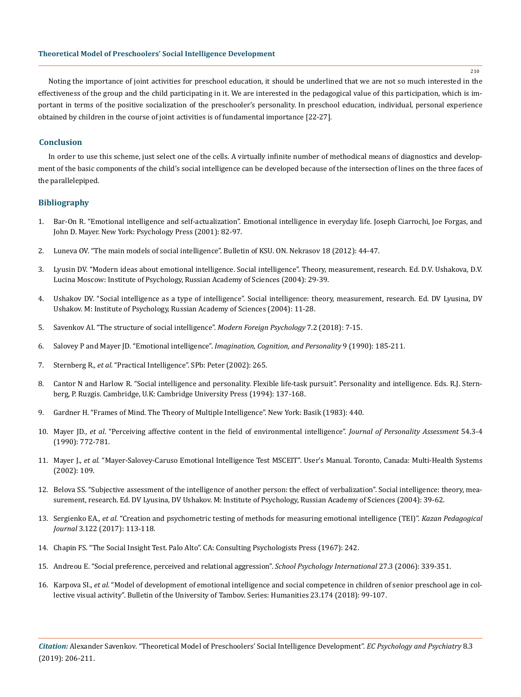Noting the importance of joint activities for preschool education, it should be underlined that we are not so much interested in the effectiveness of the group and the child participating in it. We are interested in the pedagogical value of this participation, which is important in terms of the positive socialization of the preschooler's personality. In preschool education, individual, personal experience obtained by children in the course of joint activities is of fundamental importance [22-27].

# **Conclusion**

In order to use this scheme, just select one of the cells. A virtually infinite number of methodical means of diagnostics and development of the basic components of the child's social intelligence can be developed because of the intersection of lines on the three faces of the parallelepiped.

# **Bibliography**

- 1. Bar-On R. "Emotional intelligence and self-actualization". Emotional intelligence in everyday life. Joseph Ciarrochi, Joe Forgas, and John D. Mayer. New York: Psychology Press (2001): 82-97.
- 2. Luneva OV. "The main models of social intelligence". Bulletin of KSU. ON. Nekrasov 18 (2012): 44-47.
- 3. Lyusin DV. "Modern ideas about emotional intelligence. Social intelligence". Theory, measurement, research. Ed. D.V. Ushakova, D.V. Lucina Moscow: Institute of Psychology, Russian Academy of Sciences (2004): 29-39.
- 4. Ushakov DV. "Social intelligence as a type of intelligence". Social intelligence: theory, measurement, research. Ed. DV Lyusina, DV Ushakov. M: Institute of Psychology, Russian Academy of Sciences (2004): 11-28.
- 5. Savenkov AI. "The structure of social intelligence". *Modern Foreign Psychology* 7.2 (2018): 7-15.
- 6. Salovey P and Mayer JD. "Emotional intelligence". *[Imagination, Cognition, and Personality](https://journals.sagepub.com/doi/10.2190/DUGG-P24E-52WK-6CDG)* 9 (1990): 185-211.
- 7. Sternberg R., *et al*. "Practical Intelligence". SPb: Peter (2002): 265.
- 8. Cantor N and Harlow R. "Social intelligence and personality. Flexible life-task pursuit". Personality and intelligence. Eds. R.J. Sternberg, P. Ruzgis. Cambridge, U.K: Cambridge University Press (1994): 137-168.
- 9. Gardner H. "Frames of Mind. The Theory of Multiple Intelligence". New York: Basik (1983): 440.
- 10. Mayer JD., *et al*[. "Perceiving affective content in the field of environmental intelligence".](https://www.ncbi.nlm.nih.gov/pubmed/2348356) *Journal of Personality Assessment* 54.3-4 [\(1990\): 772-781.](https://www.ncbi.nlm.nih.gov/pubmed/2348356)
- 11. Mayer J., *et al*. "Mayer-Salovey-Caruso Emotional Intelligence Test MSCEIT". User's Manual. Toronto, Canada: Multi-Health Systems (2002): 109.
- 12. Belova SS. "Subjective assessment of the intelligence of another person: the effect of verbalization". Social intelligence: theory, measurement, research. Ed. DV Lyusina, DV Ushakov. M: Institute of Psychology, Russian Academy of Sciences (2004): 39-62.
- 13. Sergienko EA., *et al*. "Creation and psychometric testing of methods for measuring emotional intelligence (TEI)". *Kazan Pedagogical Journal* 3.122 (2017): 113-118.
- 14. Chapin FS. "The Social Insight Test. Palo Alto". CA: Consulting Psychologists Press (1967): 242.
- 15. [Andreou E. "Social preference, perceived and relational aggression".](https://journals.sagepub.com/doi/abs/10.1177/0143034306067286?journalCode=spia) *School Psychology International* 27.3 (2006): 339-351.
- 16. Karpova SI., *et al*. "Model of development of emotional intelligence and social competence in children of senior preschool age in collective visual activity". Bulletin of the University of Tambov. Series: Humanities 23.174 (2018): 99-107.

*Citation:* Alexander Savenkov*.* "Theoretical Model of Preschoolers' Social Intelligence Development". *EC Psychology and Psychiatry* 8.3 (2019): 206-211.